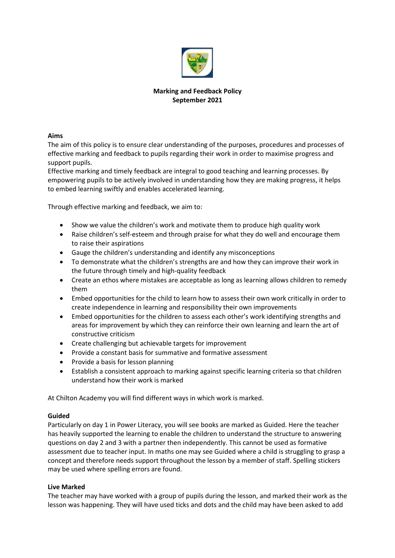

# **Marking and Feedback Policy September 2021**

### **Aims**

The aim of this policy is to ensure clear understanding of the purposes, procedures and processes of effective marking and feedback to pupils regarding their work in order to maximise progress and support pupils.

Effective marking and timely feedback are integral to good teaching and learning processes. By empowering pupils to be actively involved in understanding how they are making progress, it helps to embed learning swiftly and enables accelerated learning.

Through effective marking and feedback, we aim to:

- Show we value the children's work and motivate them to produce high quality work
- Raise children's self-esteem and through praise for what they do well and encourage them to raise their aspirations
- Gauge the children's understanding and identify any misconceptions
- To demonstrate what the children's strengths are and how they can improve their work in the future through timely and high-quality feedback
- Create an ethos where mistakes are acceptable as long as learning allows children to remedy them
- Embed opportunities for the child to learn how to assess their own work critically in order to create independence in learning and responsibility their own improvements
- Embed opportunities for the children to assess each other's work identifying strengths and areas for improvement by which they can reinforce their own learning and learn the art of constructive criticism
- Create challenging but achievable targets for improvement
- Provide a constant basis for summative and formative assessment
- Provide a basis for lesson planning
- Establish a consistent approach to marking against specific learning criteria so that children understand how their work is marked

At Chilton Academy you will find different ways in which work is marked.

### **Guided**

Particularly on day 1 in Power Literacy, you will see books are marked as Guided. Here the teacher has heavily supported the learning to enable the children to understand the structure to answering questions on day 2 and 3 with a partner then independently. This cannot be used as formative assessment due to teacher input. In maths one may see Guided where a child is struggling to grasp a concept and therefore needs support throughout the lesson by a member of staff. Spelling stickers may be used where spelling errors are found.

### **Live Marked**

The teacher may have worked with a group of pupils during the lesson, and marked their work as the lesson was happening. They will have used ticks and dots and the child may have been asked to add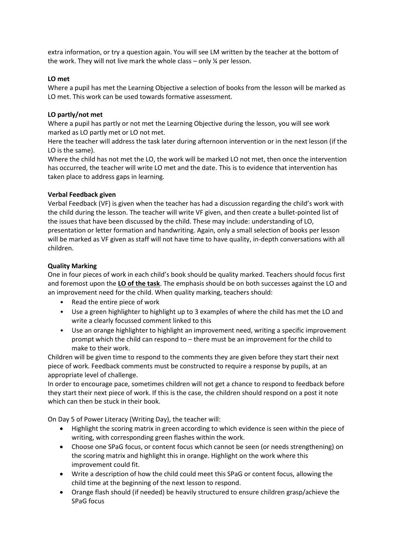extra information, or try a question again. You will see LM written by the teacher at the bottom of the work. They will not live mark the whole class – only ¼ per lesson.

## **LO met**

Where a pupil has met the Learning Objective a selection of books from the lesson will be marked as LO met. This work can be used towards formative assessment.

## **LO partly/not met**

Where a pupil has partly or not met the Learning Objective during the lesson, you will see work marked as LO partly met or LO not met.

Here the teacher will address the task later during afternoon intervention or in the next lesson (if the LO is the same).

Where the child has not met the LO, the work will be marked LO not met, then once the intervention has occurred, the teacher will write LO met and the date. This is to evidence that intervention has taken place to address gaps in learning.

## **Verbal Feedback given**

Verbal Feedback (VF) is given when the teacher has had a discussion regarding the child's work with the child during the lesson. The teacher will write VF given, and then create a bullet-pointed list of the issues that have been discussed by the child. These may include: understanding of LO, presentation or letter formation and handwriting. Again, only a small selection of books per lesson will be marked as VF given as staff will not have time to have quality, in-depth conversations with all children.

## **Quality Marking**

One in four pieces of work in each child's book should be quality marked. Teachers should focus first and foremost upon the **LO of the task**. The emphasis should be on both successes against the LO and an improvement need for the child. When quality marking, teachers should:

- Read the entire piece of work
- Use a green highlighter to highlight up to 3 examples of where the child has met the LO and write a clearly focussed comment linked to this
- Use an orange highlighter to highlight an improvement need, writing a specific improvement prompt which the child can respond to – there must be an improvement for the child to make to their work.

Children will be given time to respond to the comments they are given before they start their next piece of work. Feedback comments must be constructed to require a response by pupils, at an appropriate level of challenge.

In order to encourage pace, sometimes children will not get a chance to respond to feedback before they start their next piece of work. If this is the case, the children should respond on a post it note which can then be stuck in their book.

On Day 5 of Power Literacy (Writing Day), the teacher will:

- Highlight the scoring matrix in green according to which evidence is seen within the piece of writing, with corresponding green flashes within the work.
- Choose one SPaG focus, or content focus which cannot be seen (or needs strengthening) on the scoring matrix and highlight this in orange. Highlight on the work where this improvement could fit.
- Write a description of how the child could meet this SPaG or content focus, allowing the child time at the beginning of the next lesson to respond.
- Orange flash should (if needed) be heavily structured to ensure children grasp/achieve the SPaG focus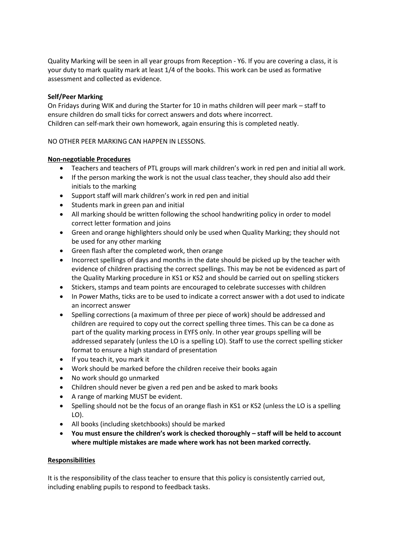Quality Marking will be seen in all year groups from Reception - Y6. If you are covering a class, it is your duty to mark quality mark at least 1/4 of the books. This work can be used as formative assessment and collected as evidence.

# **Self/Peer Marking**

On Fridays during WIK and during the Starter for 10 in maths children will peer mark – staff to ensure children do small ticks for correct answers and dots where incorrect. Children can self-mark their own homework, again ensuring this is completed neatly.

## NO OTHER PEER MARKING CAN HAPPEN IN LESSONS.

## **Non-negotiable Procedures**

- Teachers and teachers of PTL groups will mark children's work in red pen and initial all work.
- If the person marking the work is not the usual class teacher, they should also add their initials to the marking
- Support staff will mark children's work in red pen and initial
- Students mark in green pan and initial
- All marking should be written following the school handwriting policy in order to model correct letter formation and joins
- Green and orange highlighters should only be used when Quality Marking; they should not be used for any other marking
- Green flash after the completed work, then orange
- Incorrect spellings of days and months in the date should be picked up by the teacher with evidence of children practising the correct spellings. This may be not be evidenced as part of the Quality Marking procedure in KS1 or KS2 and should be carried out on spelling stickers
- Stickers, stamps and team points are encouraged to celebrate successes with children
- In Power Maths, ticks are to be used to indicate a correct answer with a dot used to indicate an incorrect answer
- Spelling corrections (a maximum of three per piece of work) should be addressed and children are required to copy out the correct spelling three times. This can be ca done as part of the quality marking process in EYFS only. In other year groups spelling will be addressed separately (unless the LO is a spelling LO). Staff to use the correct spelling sticker format to ensure a high standard of presentation
- If you teach it, you mark it
- Work should be marked before the children receive their books again
- No work should go unmarked
- Children should never be given a red pen and be asked to mark books
- A range of marking MUST be evident.
- Spelling should not be the focus of an orange flash in KS1 or KS2 (unless the LO is a spelling LO).
- All books (including sketchbooks) should be marked
- **You must ensure the children's work is checked thoroughly – staff will be held to account where multiple mistakes are made where work has not been marked correctly.**

### **Responsibilities**

It is the responsibility of the class teacher to ensure that this policy is consistently carried out, including enabling pupils to respond to feedback tasks.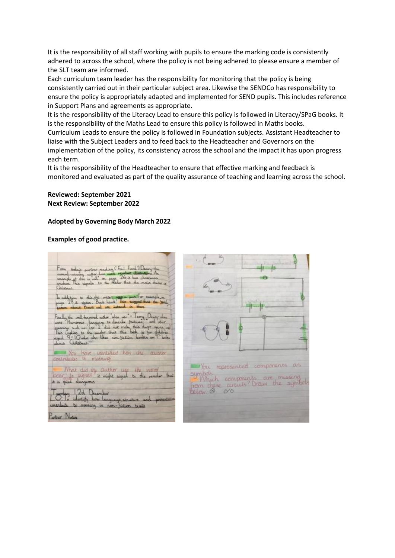It is the responsibility of all staff working with pupils to ensure the marking code is consistently adhered to across the school, where the policy is not being adhered to please ensure a member of the SLT team are informed.

Each curriculum team leader has the responsibility for monitoring that the policy is being consistently carried out in their particular subject area. Likewise the SENDCo has responsibility to ensure the policy is appropriately adapted and implemented for SEND pupils. This includes reference in Support Plans and agreements as appropriate.

It is the responsibility of the Literacy Lead to ensure this policy is followed in Literacy/SPaG books. It is the responsibility of the Maths Lead to ensure this policy is followed in Maths books.

Curriculum Leads to ensure the policy is followed in Foundation subjects. Assistant Headteacher to liaise with the Subject Leaders and to feed back to the Headteacher and Governors on the implementation of the policy, its consistency across the school and the impact it has upon progress each term.

It is the responsibility of the Headteacher to ensure that effective marking and feedback is monitored and evaluated as part of the quality assurance of teaching and learning across the school.

#### **Reviewed: September 2021 Next Review: September 2022**

## **Adopted by Governing Body March 2022**

### **Examples of good practice.**